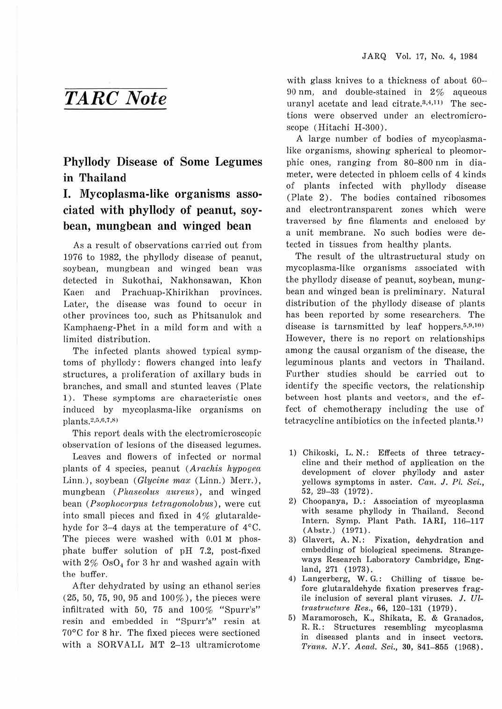## *TARC Note*

**Phyllody Disease of Some Legumes in Thailand** 

## **I. Mycoplasma-like organisms associated with phylJody of peanut, soybean, mungbean and winged bean**

As a result of observations carried out from 1976 to 1982, the phyllody disease of peanut, soybean, mungbean and winged bean was detected in Sukothai, Nakhonsawan, Khon Kaen and Prachuap-Khirikhan provinces. Later, the disease was found to occur in other provinces too, such as Phitsanulok and Kamphaeng-Phet in a mild form and with a limited distribution.

The infected plants showed typical symptoms of phyllody: flowers changed into leafy structures, a proliferation of axillary buds in branches, and small and stunted leaves (Plate 1). These symptoms are characteristic ones induced by mycoplasma-like organisms on  $\text{plants}.^{2,5,6,7,8}$ 

This report deals with the electromicroscopic observation of lesions of the diseased legumes.

Leaves and flowers of infected or normal plants of 4 species, peanut (Arachis hypogea Linn.), soybean (Glycine max (Linn.) Merr.), mungbean (Phaseolus aureus), and winged bean (Psophocorpus tetragonolobus), were cut into small pieces and fixed in  $4\%$  glutaraldehyde for 3-4 days at the temperature of 4°C. The pieces were washed with 0.01 M phosphate buffer solution of pH 7.2, post-fixed with  $2\%$  OsO<sub>4</sub> for 3 hr and washed again with the buffer.

After dehydrated by using an ethanol series  $(25, 50, 75, 90, 95, 100\%)$ , the pieces were infiltrated with 50, 75 and 100% "Spurr's" resin and embedded in "Spurr's" resin at 70°C for 8 hr. The fixed pieces were sectioned with a SORVALL MT 2-13 ultramicrotome with glass knives to a thickness of about 60-90 nm, and double-stained in 2% aqueous uranyl acetate and lead citrate. $3,4,111$  The sections were observed under an electromicroscope (Hitachi H-300).

A large number of bodies of mycoplasmalike organisms, showing spherical to pleomorphic ones, ranging from 80-800 nm in diameter, were detected in phloem cells of 4 kinds of plants infected with phyllody disease (Plate 2). The bodies contained ribosomes and electrontransparent zones which were traversed by fine filaments and enclosed by a unit membrane. No such bodies were detected in tissues from healthy plants.

The result of the ultrastructural study on mycoplasma-like organisms associated with the phyllody disease of peanut, soybean, mungbean and winged bean is preliminary. Natural distribution of the phyllody disease of plants has been reported by some researchers. The disease is tarnsmitted by leaf hoppers. $5,9,101$ However, there is no report on relationships among the causal organism of the disease, the leguminous plants and vectors in Thailand. Further studies should be carried out to identify the specific vectors, the relationship between host plants and vectors, and the effect of chemotherapy including the use of tetracycline antibiotics on the infected plants.1'

- 1) Chikoski, L. N.: Effects of three tetracycline and their method of application on the development of clover phyllody and aster yellows symptoms in aster. Can. J. Pl. Sci., 52, 29-38 (Ul72).
- 2) Choopanya, D.: Association of mycoplasma with sesame phyllody in Thailand. Second Intem. Symp. Plant Path. **IARI,** 116-117 (Abstr.) (1971) .
- 3) Glavert, **A. N.:** Fixation, dehydration and embedding of biological specimens. Strangeways Research Laboratory Cambridge, England, 271 (1973).
- 4) Langerberg, W. G.: Chilling of tissue before glutaraldehyde fixation preserves fragile inclusion of several plant viruses.  $J. U<sub>l</sub>$ *lmstfiictiwe Res.,* 66, 120-131 (1979) .
- 5) Maramorosch, K., Shikata, E. & Granados, R. R.: Structures resembling mycoplasma in diseased plants and in insect vectors. Trans. N.Y. Acad. Sci., 30, 841-855 (1968).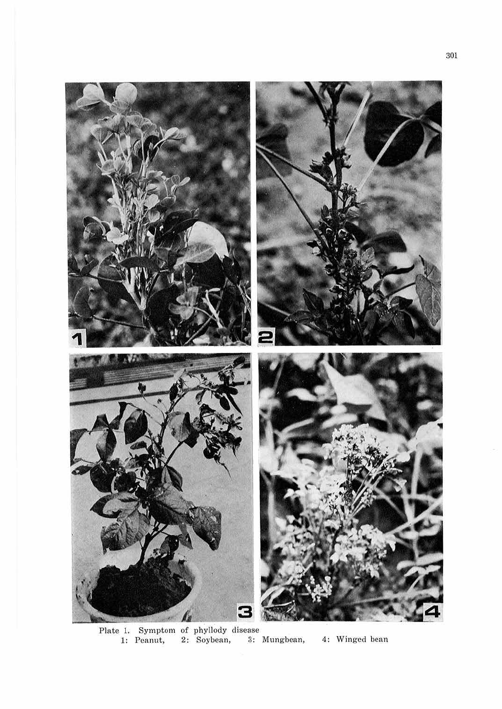

Plate 1. Symptom of phyllody disease 1: Peanut, 2: Soybean, 3: Mungbean, 4: Winged bean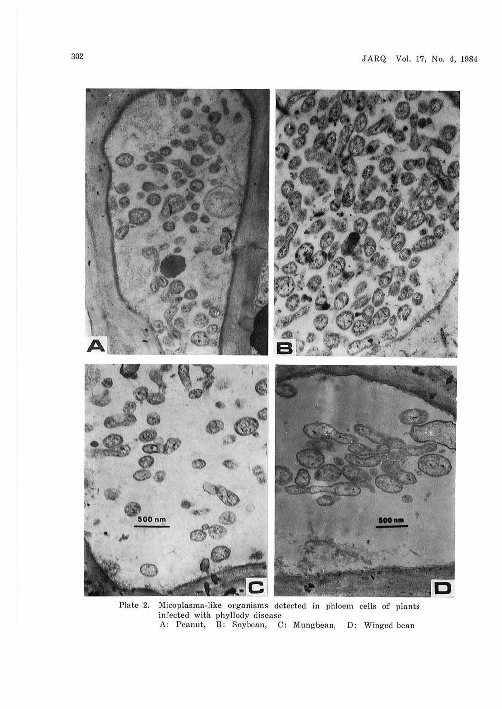

Plate 2. Micoplasma-like organisms detected in phloem cells of plants infected with phyllody disease A: Peanut, B: Soybean, C: Mungbean, D: Winged bean